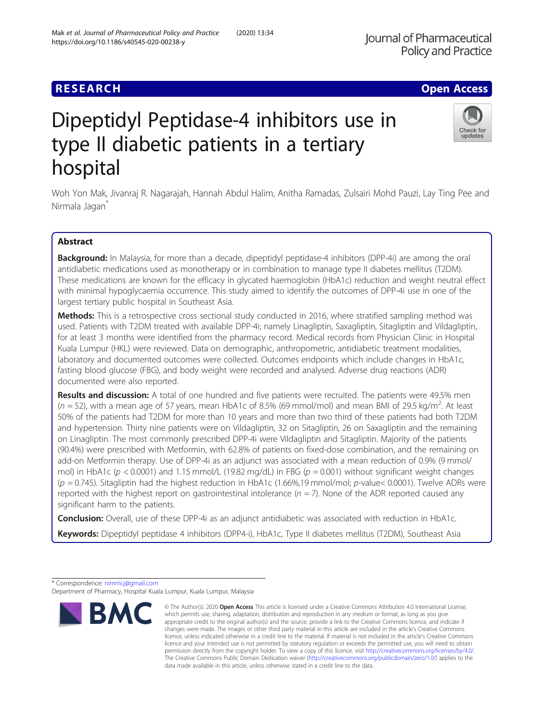## **RESEARCH CHE Open Access**

# Dipeptidyl Peptidase-4 inhibitors use in type II diabetic patients in a tertiary hospital

Woh Yon Mak, Jivanraj R. Nagarajah, Hannah Abdul Halim, Anitha Ramadas, Zulsairi Mohd Pauzi, Lay Ting Pee and Nirmala Jagan<sup>\*</sup>

## Abstract

Background: In Malaysia, for more than a decade, dipeptidyl peptidase-4 inhibitors (DPP-4i) are among the oral antidiabetic medications used as monotherapy or in combination to manage type II diabetes mellitus (T2DM). These medications are known for the efficacy in glycated haemoglobin (HbA1c) reduction and weight neutral effect with minimal hypoglycaemia occurrence. This study aimed to identify the outcomes of DPP-4i use in one of the largest tertiary public hospital in Southeast Asia.

Methods: This is a retrospective cross sectional study conducted in 2016, where stratified sampling method was used. Patients with T2DM treated with available DPP-4i; namely Linagliptin, Saxagliptin, Sitagliptin and Vildagliptin, for at least 3 months were identified from the pharmacy record. Medical records from Physician Clinic in Hospital Kuala Lumpur (HKL) were reviewed. Data on demographic, anthropometric, antidiabetic treatment modalities, laboratory and documented outcomes were collected. Outcomes endpoints which include changes in HbA1c, fasting blood glucose (FBG), and body weight were recorded and analysed. Adverse drug reactions (ADR) documented were also reported.

Results and discussion: A total of one hundred and five patients were recruited. The patients were 49.5% men ( $n = 52$ ), with a mean age of 57 years, mean HbA1c of 8.5% (69 mmol/mol) and mean BMI of 29.5 kg/m<sup>2</sup>. At least 50% of the patients had T2DM for more than 10 years and more than two third of these patients had both T2DM and hypertension. Thirty nine patients were on Vildagliptin, 32 on Sitagliptin, 26 on Saxagliptin and the remaining on Linagliptin. The most commonly prescribed DPP-4i were Vildagliptin and Sitagliptin. Majority of the patients (90.4%) were prescribed with Metformin, with 62.8% of patients on fixed-dose combination, and the remaining on add-on Metformin therapy. Use of DPP-4i as an adjunct was associated with a mean reduction of 0.9% (9 mmol/ mol) in HbA1c ( $p < 0.0001$ ) and 1.15 mmol/L (19.82 mg/dL) in FBG ( $p = 0.001$ ) without significant weight changes  $(p = 0.745)$ . Sitagliptin had the highest reduction in HbA1c (1.66%,19 mmol/mol; p-value< 0.0001). Twelve ADRs were reported with the highest report on gastrointestinal intolerance ( $n = 7$ ). None of the ADR reported caused any significant harm to the patients.

**Conclusion:** Overall, use of these DPP-4i as an adjunct antidiabetic was associated with reduction in HbA1c.

Keywords: Dipeptidyl peptidase 4 inhibitors (DPP4-i), HbA1c, Type II diabetes mellitus (T2DM), Southeast Asia

\* Correspondence: [nimmi.j@gmail.com](mailto:nimmi.j@gmail.com)



© The Author(s), 2020 **Open Access** This article is licensed under a Creative Commons Attribution 4.0 International License, which permits use, sharing, adaptation, distribution and reproduction in any medium or format, as long as you give



Department of Pharmacy, Hospital Kuala Lumpur, Kuala Lumpur, Malaysia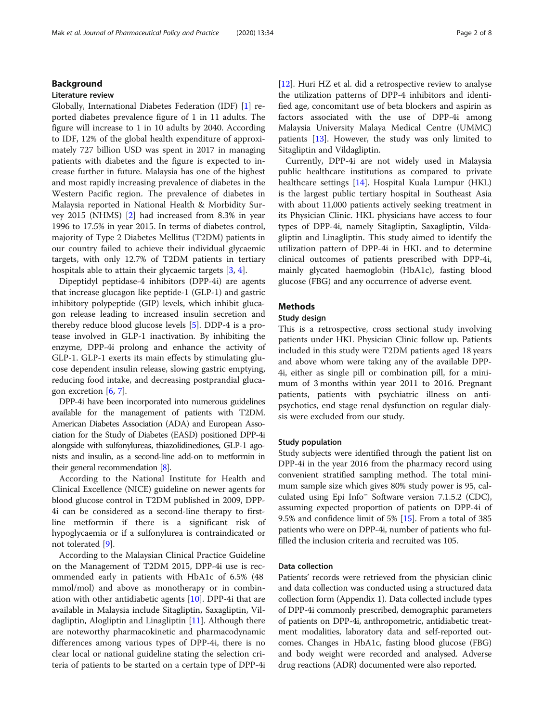## Background

#### Literature review

Globally, International Diabetes Federation (IDF) [\[1](#page-6-0)] reported diabetes prevalence figure of 1 in 11 adults. The figure will increase to 1 in 10 adults by 2040. According to IDF, 12% of the global health expenditure of approximately 727 billion USD was spent in 2017 in managing patients with diabetes and the figure is expected to increase further in future. Malaysia has one of the highest and most rapidly increasing prevalence of diabetes in the Western Pacific region. The prevalence of diabetes in Malaysia reported in National Health & Morbidity Survey 2015 (NHMS) [[2\]](#page-6-0) had increased from 8.3% in year 1996 to 17.5% in year 2015. In terms of diabetes control, majority of Type 2 Diabetes Mellitus (T2DM) patients in our country failed to achieve their individual glycaemic targets, with only 12.7% of T2DM patients in tertiary hospitals able to attain their glycaemic targets [[3,](#page-6-0) [4](#page-6-0)].

Dipeptidyl peptidase-4 inhibitors (DPP-4i) are agents that increase glucagon like peptide-1 (GLP-1) and gastric inhibitory polypeptide (GIP) levels, which inhibit glucagon release leading to increased insulin secretion and thereby reduce blood glucose levels [\[5](#page-6-0)]. DDP-4 is a protease involved in GLP-1 inactivation. By inhibiting the enzyme, DPP-4i prolong and enhance the activity of GLP-1. GLP-1 exerts its main effects by stimulating glucose dependent insulin release, slowing gastric emptying, reducing food intake, and decreasing postprandial glucagon excretion  $[6, 7]$  $[6, 7]$  $[6, 7]$  $[6, 7]$ .

DPP-4i have been incorporated into numerous guidelines available for the management of patients with T2DM. American Diabetes Association (ADA) and European Association for the Study of Diabetes (EASD) positioned DPP-4i alongside with sulfonylureas, thiazolidinediones, GLP-1 agonists and insulin, as a second-line add-on to metformin in their general recommendation [\[8\]](#page-6-0).

According to the National Institute for Health and Clinical Excellence (NICE) guideline on newer agents for blood glucose control in T2DM published in 2009, DPP-4i can be considered as a second-line therapy to firstline metformin if there is a significant risk of hypoglycaemia or if a sulfonylurea is contraindicated or not tolerated [[9](#page-6-0)].

According to the Malaysian Clinical Practice Guideline on the Management of T2DM 2015, DPP-4i use is recommended early in patients with HbA1c of 6.5% (48 mmol/mol) and above as monotherapy or in combination with other antidiabetic agents [[10](#page-6-0)]. DPP-4i that are available in Malaysia include Sitagliptin, Saxagliptin, Vildagliptin, Alogliptin and Linagliptin [[11\]](#page-7-0). Although there are noteworthy pharmacokinetic and pharmacodynamic differences among various types of DPP-4i, there is no clear local or national guideline stating the selection criteria of patients to be started on a certain type of DPP-4i [[12\]](#page-7-0). Huri HZ et al. did a retrospective review to analyse the utilization patterns of DPP-4 inhibitors and identified age, concomitant use of beta blockers and aspirin as factors associated with the use of DPP-4i among Malaysia University Malaya Medical Centre (UMMC) patients [\[13\]](#page-7-0). However, the study was only limited to Sitagliptin and Vildagliptin.

Currently, DPP-4i are not widely used in Malaysia public healthcare institutions as compared to private healthcare settings [\[14](#page-7-0)]. Hospital Kuala Lumpur (HKL) is the largest public tertiary hospital in Southeast Asia with about 11,000 patients actively seeking treatment in its Physician Clinic. HKL physicians have access to four types of DPP-4i, namely Sitagliptin, Saxagliptin, Vildagliptin and Linagliptin. This study aimed to identify the utilization pattern of DPP-4i in HKL and to determine clinical outcomes of patients prescribed with DPP-4i, mainly glycated haemoglobin (HbA1c), fasting blood glucose (FBG) and any occurrence of adverse event.

## Methods

## Study design

This is a retrospective, cross sectional study involving patients under HKL Physician Clinic follow up. Patients included in this study were T2DM patients aged 18 years and above whom were taking any of the available DPP-4i, either as single pill or combination pill, for a minimum of 3 months within year 2011 to 2016. Pregnant patients, patients with psychiatric illness on antipsychotics, end stage renal dysfunction on regular dialysis were excluded from our study.

#### Study population

Study subjects were identified through the patient list on DPP-4i in the year 2016 from the pharmacy record using convenient stratified sampling method. The total minimum sample size which gives 80% study power is 95, calculated using Epi Info™ Software version 7.1.5.2 (CDC), assuming expected proportion of patients on DPP-4i of 9.5% and confidence limit of 5% [\[15](#page-7-0)]. From a total of 385 patients who were on DPP-4i, number of patients who fulfilled the inclusion criteria and recruited was 105.

### Data collection

Patients' records were retrieved from the physician clinic and data collection was conducted using a structured data collection form (Appendix 1). Data collected include types of DPP-4i commonly prescribed, demographic parameters of patients on DPP-4i, anthropometric, antidiabetic treatment modalities, laboratory data and self-reported outcomes. Changes in HbA1c, fasting blood glucose (FBG) and body weight were recorded and analysed. Adverse drug reactions (ADR) documented were also reported.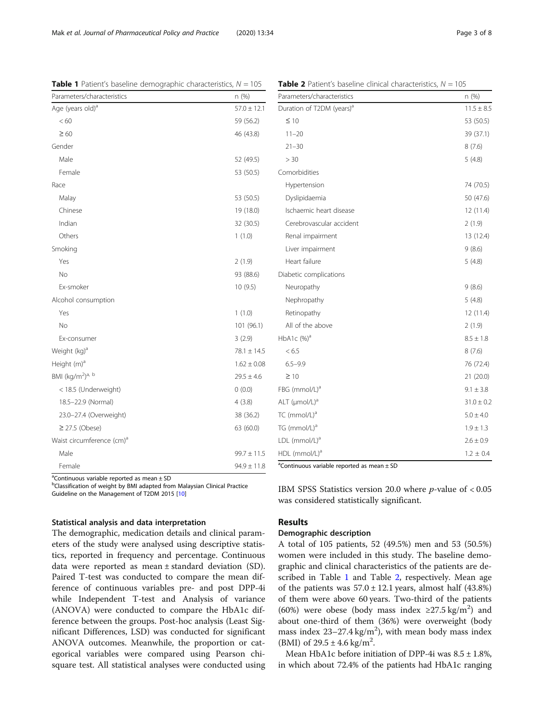a Continuous variable reported as mean ± SD

<sup>b</sup>Classification of weight by BMI adapted from Malaysian Clinical Practice Guideline on the Management of T2DM 2015 [\[10](#page-6-0)]

## Statistical analysis and data interpretation

The demographic, medication details and clinical parameters of the study were analysed using descriptive statistics, reported in frequency and percentage. Continuous data were reported as mean ± standard deviation (SD). Paired T-test was conducted to compare the mean difference of continuous variables pre- and post DPP-4i while Independent T-test and Analysis of variance (ANOVA) were conducted to compare the HbA1c difference between the groups. Post-hoc analysis (Least Significant Differences, LSD) was conducted for significant ANOVA outcomes. Meanwhile, the proportion or categorical variables were compared using Pearson chisquare test. All statistical analyses were conducted using ble reported as mean  $\pm$  SL

IBM SPSS Statistics version 20.0 where  $p$ -value of < 0.05 was considered statistically significant.

## Results

## Demographic description

A total of 105 patients, 52 (49.5%) men and 53 (50.5%) women were included in this study. The baseline demographic and clinical characteristics of the patients are described in Table 1 and Table 2, respectively. Mean age of the patients was  $57.0 \pm 12.1$  years, almost half (43.8%) of them were above 60 years. Two-third of the patients (60%) were obese (body mass index  $\geq$ 27.5 kg/m<sup>2</sup>) and about one-third of them (36%) were overweight (body mass index  $23-27.4$  kg/m<sup>2</sup>), with mean body mass index (BMI) of  $29.5 \pm 4.6$  kg/m<sup>2</sup>.

Mean HbA1c before initiation of DPP-4i was  $8.5 \pm 1.8$ %, in which about 72.4% of the patients had HbA1c ranging

|  | <b>Table 1</b> Patient's baseline demographic characteristics, $N = 105$ |  |  |
|--|--------------------------------------------------------------------------|--|--|
|--|--------------------------------------------------------------------------|--|--|

| Parameters/characteristics               | n (%)           |
|------------------------------------------|-----------------|
| Age (years old) <sup>a</sup>             | $57.0 \pm 12.1$ |
| < 60                                     | 59 (56.2)       |
| $\geq 60$                                | 46 (43.8)       |
| Gender                                   |                 |
| Male                                     | 52 (49.5)       |
| Female                                   | 53 (50.5)       |
| Race                                     |                 |
| Malay                                    | 53 (50.5)       |
| Chinese                                  | 19 (18.0)       |
| Indian                                   | 32 (30.5)       |
| Others                                   | 1(1.0)          |
| Smoking                                  |                 |
| Yes                                      | 2(1.9)          |
| No                                       | 93 (88.6)       |
| Ex-smoker                                | 10(9.5)         |
| Alcohol consumption                      |                 |
| Yes                                      | 1(1.0)          |
| No                                       | 101 (96.1)      |
| Ex-consumer                              | 3(2.9)          |
| Weight (kg) <sup>a</sup>                 | $78.1 \pm 14.5$ |
| Height (m) <sup>a</sup>                  | $1.62 \pm 0.08$ |
| BMI (kg/m <sup>2</sup> ) <sup>a, b</sup> | $29.5 \pm 4.6$  |
| < 18.5 (Underweight)                     | 0(0.0)          |
| 18.5-22.9 (Normal)                       | 4(3.8)          |
| 23.0-27.4 (Overweight)                   | 38 (36.2)       |
| $\geq$ 27.5 (Obese)                      | 63 (60.0)       |
| Waist circumference (cm) <sup>a</sup>    |                 |
| Male                                     | $99.7 \pm 11.5$ |
| Female                                   | $94.9 \pm 11.8$ |

 $Table 2$  Patient's baseline clinical characteristics,  $N = 105$ 

| Parameters/characteristics            | n (%)          |
|---------------------------------------|----------------|
| Duration of T2DM (years) <sup>a</sup> | $11.5 \pm 8.5$ |
| $\leq 10$                             | 53 (50.5)      |
| $11 - 20$                             | 39 (37.1)      |
| $21 - 30$                             | 8(7.6)         |
| > 30                                  | 5(4.8)         |
| Comorbidities                         |                |
| Hypertension                          | 74 (70.5)      |
| Dyslipidaemia                         | 50 (47.6)      |
| Ischaemic heart disease               | 12 (11.4)      |
| Cerebrovascular accident              | 2(1.9)         |
| Renal impairment                      | 13 (12.4)      |
| Liver impairment                      | 9(8.6)         |
| Heart failure                         | 5(4.8)         |
| Diabetic complications                |                |
| Neuropathy                            | 9(8.6)         |
| Nephropathy                           | 5(4.8)         |
| Retinopathy                           | 12 (11.4)      |
| All of the above                      | 2(1.9)         |
| HbA1c $(%)^a$                         | $8.5 \pm 1.8$  |
| < 6.5                                 | 8(7.6)         |
| $6.5 - 9.9$                           | 76 (72.4)      |
| $\geq 10$                             | 21 (20.0)      |
| FBG (mmol/L) <sup>a</sup>             | $9.1 \pm 3.8$  |
| ALT $(\mu \text{mol/L})^a$            | $31.0 \pm 0.2$ |
| TC (mmol/L) <sup>a</sup>              | $5.0 \pm 4.0$  |
| TG (mmol/L) <sup>a</sup>              | $1.9 \pm 1.3$  |
| LDL (mmol/L) <sup>a</sup>             | $2.6 \pm 0.9$  |
| HDL (mmol/L) <sup>a</sup>             | $1.2 \pm 0.4$  |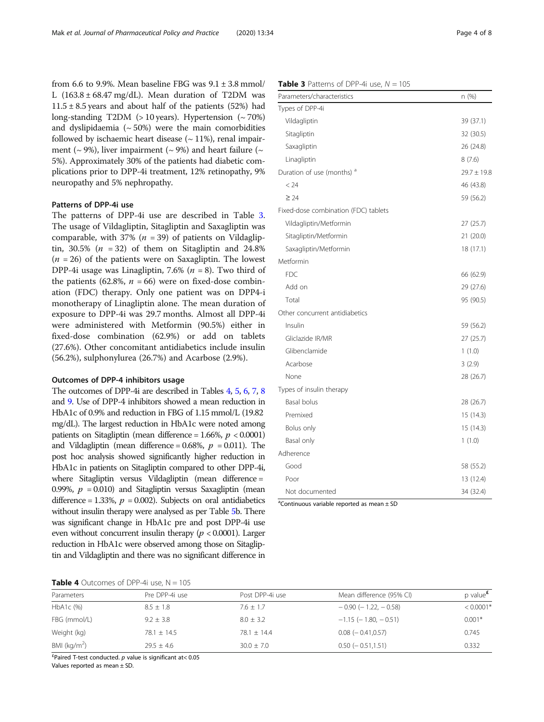from 6.6 to 9.9%. Mean baseline FBG was  $9.1 \pm 3.8$  mmol/ L  $(163.8 \pm 68.47 \text{ mg/dL})$ . Mean duration of T2DM was  $11.5 \pm 8.5$  years and about half of the patients (52%) had long-standing T2DM ( $> 10$  years). Hypertension ( $\sim 70\%$ ) and dyslipidaemia  $({\sim}50\%)$  were the main comorbidities followed by ischaemic heart disease  $($   $\sim$  11%), renal impairment ( $\sim$  9%), liver impairment ( $\sim$  9%) and heart failure ( $\sim$ 5%). Approximately 30% of the patients had diabetic complications prior to DPP-4i treatment, 12% retinopathy, 9% neuropathy and 5% nephropathy.

## Patterns of DPP-4i use

The patterns of DPP-4i use are described in Table 3. The usage of Vildagliptin, Sitagliptin and Saxagliptin was comparable, with 37% ( $n = 39$ ) of patients on Vildagliptin, 30.5% ( $n = 32$ ) of them on Sitagliptin and 24.8%  $(n = 26)$  of the patients were on Saxagliptin. The lowest DPP-4i usage was Linagliptin, 7.6% ( $n = 8$ ). Two third of the patients (62.8%,  $n = 66$ ) were on fixed-dose combination (FDC) therapy. Only one patient was on DPP4-i monotherapy of Linagliptin alone. The mean duration of exposure to DPP-4i was 29.7 months. Almost all DPP-4i were administered with Metformin (90.5%) either in fixed-dose combination (62.9%) or add on tablets (27.6%). Other concomitant antidiabetics include insulin (56.2%), sulphonylurea (26.7%) and Acarbose (2.9%).

#### Outcomes of DPP-4 inhibitors usage

The outcomes of DPP-4i are described in Tables 4, [5,](#page-4-0) [6](#page-4-0), [7,](#page-5-0) [8](#page-5-0) and [9.](#page-5-0) Use of DPP-4 inhibitors showed a mean reduction in HbA1c of 0.9% and reduction in FBG of 1.15 mmol/L (19.82 mg/dL). The largest reduction in HbA1c were noted among patients on Sitagliptin (mean difference =  $1.66\%$ ,  $p < 0.0001$ ) and Vildagliptin (mean difference = 0.68%,  $p = 0.011$ ). The post hoc analysis showed significantly higher reduction in HbA1c in patients on Sitagliptin compared to other DPP-4i, where Sitagliptin versus Vildagliptin (mean difference = 0.99%,  $p = 0.010$ ) and Sitagliptin versus Saxagliptin (mean difference = 1.33%,  $p = 0.002$ ). Subjects on oral antidiabetics without insulin therapy were analysed as per Table [5](#page-4-0)b. There was significant change in HbA1c pre and post DPP-4i use even without concurrent insulin therapy ( $p < 0.0001$ ). Larger reduction in HbA1c were observed among those on Sitagliptin and Vildagliptin and there was no significant difference in

## **Table 3** Patterns of DPP-4i use,  $N = 105$

| Parameters/characteristics            | n (%)           |
|---------------------------------------|-----------------|
| Types of DPP-4i                       |                 |
| Vildagliptin                          | 39 (37.1)       |
| Sitagliptin                           | 32 (30.5)       |
| Saxagliptin                           | 26 (24.8)       |
| Linagliptin                           | 8(7.6)          |
| Duration of use (months) <sup>a</sup> | $29.7 \pm 19.8$ |
| < 24                                  | 46 (43.8)       |
| $\geq 24$                             | 59 (56.2)       |
| Fixed-dose combination (FDC) tablets  |                 |
| Vildagliptin/Metformin                | 27 (25.7)       |
| Sitagliptin/Metformin                 | 21 (20.0)       |
| Saxagliptin/Metformin                 | 18 (17.1)       |
| Metformin                             |                 |
| <b>FDC</b>                            | 66 (62.9)       |
| Add on                                | 29 (27.6)       |
| Total                                 | 95 (90.5)       |
| Other concurrent antidiabetics        |                 |
| Insulin                               | 59 (56.2)       |
| Gliclazide IR/MR                      | 27 (25.7)       |
| Glibenclamide                         | 1(1.0)          |
| Acarbose                              | 3(2.9)          |
| None                                  | 28 (26.7)       |
| Types of insulin therapy              |                 |
| Basal bolus                           | 28 (26.7)       |
| Premixed                              | 15 (14.3)       |
| Bolus only                            | 15 (14.3)       |
| Basal only                            | 1(1.0)          |
| Adherence                             |                 |
| Good                                  | 58 (55.2)       |
| Poor                                  | 13 (12.4)       |
| Not documented                        | 34 (32.4)       |

 $\alpha$ <sup>a</sup>Continuous variable reported as mean  $\pm$  SD

|  | <b>Table 4</b> Outcomes of DPP-4i use, $N = 105$ |  |  |  |
|--|--------------------------------------------------|--|--|--|
|--|--------------------------------------------------|--|--|--|

|                 | $\frac{1}{2}$ $\frac{1}{2}$ $\frac{1}{2}$ $\frac{1}{2}$ $\frac{1}{2}$ $\frac{1}{2}$ $\frac{1}{2}$ $\frac{1}{2}$ $\frac{1}{2}$ $\frac{1}{2}$ $\frac{1}{2}$ $\frac{1}{2}$ $\frac{1}{2}$ $\frac{1}{2}$ $\frac{1}{2}$ $\frac{1}{2}$ $\frac{1}{2}$ $\frac{1}{2}$ $\frac{1}{2}$ $\frac{1}{2}$ $\frac{1}{2}$ $\frac{1}{2}$ |                 |                               |               |  |  |
|-----------------|---------------------------------------------------------------------------------------------------------------------------------------------------------------------------------------------------------------------------------------------------------------------------------------------------------------------|-----------------|-------------------------------|---------------|--|--|
| Parameters      | Pre DPP-4i use                                                                                                                                                                                                                                                                                                      | Post DPP-4i use | Mean difference (95% CI)      | p value $\pm$ |  |  |
| $HbA1c$ (%)     | $8.5 \pm 1.8$                                                                                                                                                                                                                                                                                                       | $7.6 \pm 1.7$   | $-0.90$ ( $-1.22$ , $-0.58$ ) | $< 0.0001*$   |  |  |
| FBG (mmol/L)    | $9.2 \pm 3.8$                                                                                                                                                                                                                                                                                                       | $8.0 + 3.2$     | $-1.15$ ( $-1.80$ , $-0.51$ ) | $0.001*$      |  |  |
| Weight (kg)     | $78.1 + 14.5$                                                                                                                                                                                                                                                                                                       | $78.1 + 14.4$   | $0.08$ ( $-0.41,0.57$ )       | 0.745         |  |  |
| BMI ( $kg/m2$ ) | $79.5 + 4.6$                                                                                                                                                                                                                                                                                                        | $30.0 + 7.0$    | $0.50$ ( $-0.51,1.51$ )       | 0.332         |  |  |

 $^{4}$ Paired T-test conducted. p value is significant at< 0.05

Values reported as mean ± SD.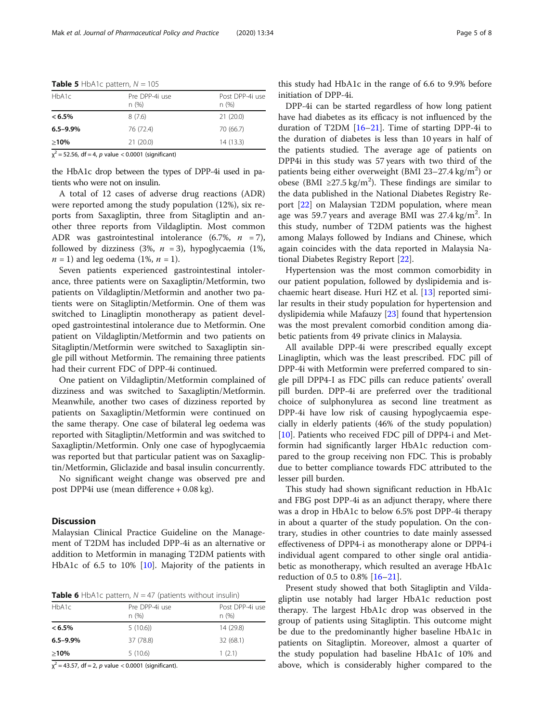| HbA1c         | Pre DPP-4i use<br>n(%) | Post DPP-4i use<br>n(%) |
|---------------|------------------------|-------------------------|
| $< 6.5\%$     | 8(7.6)                 | 21(20.0)                |
| $6.5 - 9.9\%$ | 76 (72.4)              | 70 (66.7)               |
| $>10\%$       | 21(20.0)               | 14(13.3)                |

<span id="page-4-0"></span>**Table 5** HbA1c pattern,  $N = 105$ 

 $\chi^2$  = 52.56, df = 4, p value < 0.0001 (significant)

the HbA1c drop between the types of DPP-4i used in patients who were not on insulin.

A total of 12 cases of adverse drug reactions (ADR) were reported among the study population (12%), six reports from Saxagliptin, three from Sitagliptin and another three reports from Vildagliptin. Most common ADR was gastrointestinal intolerance  $(6.7\%, n = 7)$ , followed by dizziness (3%,  $n = 3$ ), hypoglycaemia (1%,  $n = 1$ ) and leg oedema (1%,  $n = 1$ ).

Seven patients experienced gastrointestinal intolerance, three patients were on Saxagliptin/Metformin, two patients on Vildagliptin/Metformin and another two patients were on Sitagliptin/Metformin. One of them was switched to Linagliptin monotherapy as patient developed gastrointestinal intolerance due to Metformin. One patient on Vildagliptin/Metformin and two patients on Sitagliptin/Metformin were switched to Saxagliptin single pill without Metformin. The remaining three patients had their current FDC of DPP-4i continued.

One patient on Vildagliptin/Metformin complained of dizziness and was switched to Saxagliptin/Metformin. Meanwhile, another two cases of dizziness reported by patients on Saxagliptin/Metformin were continued on the same therapy. One case of bilateral leg oedema was reported with Sitagliptin/Metformin and was switched to Saxagliptin/Metformin. Only one case of hypoglycaemia was reported but that particular patient was on Saxagliptin/Metformin, Gliclazide and basal insulin concurrently.

No significant weight change was observed pre and post DPP4i use (mean difference + 0.08 kg).

## **Discussion**

Malaysian Clinical Practice Guideline on the Management of T2DM has included DPP-4i as an alternative or addition to Metformin in managing T2DM patients with HbA1c of 6.5 to 10% [[10](#page-6-0)]. Majority of the patients in

**Table 6** HbA1c pattern,  $N = 47$  (patients without insulin)

| HbA1c         | Pre DPP-4i use<br>n(%) | Post DPP-4i use<br>n(%) |
|---------------|------------------------|-------------------------|
| $< 6.5\%$     | 5(10.6)                | 14 (29.8)               |
| $6.5 - 9.9\%$ | 37 (78.8)              | 32 (68.1)               |
| $>10\%$       | 5(10.6)                | 1(2.1)                  |

 $\chi^2$  = 43.57, df = 2, p value < 0.0001 (significant).

this study had HbA1c in the range of 6.6 to 9.9% before initiation of DPP-4i.

DPP-4i can be started regardless of how long patient have had diabetes as its efficacy is not influenced by the duration of T2DM [\[16](#page-7-0)–[21\]](#page-7-0). Time of starting DPP-4i to the duration of diabetes is less than 10 years in half of the patients studied. The average age of patients on DPP4i in this study was 57 years with two third of the patients being either overweight (BMI 23-27.4 kg/m<sup>2</sup>) or obese (BMI ≥27.5 kg/m<sup>2</sup>). These findings are similar to the data published in the National Diabetes Registry Report [\[22\]](#page-7-0) on Malaysian T2DM population, where mean age was 59.7 years and average BMI was  $27.4 \text{ kg/m}^2$ . In this study, number of T2DM patients was the highest among Malays followed by Indians and Chinese, which again coincides with the data reported in Malaysia National Diabetes Registry Report [\[22\]](#page-7-0).

Hypertension was the most common comorbidity in our patient population, followed by dyslipidemia and ischaemic heart disease. Huri HZ et al. [[13\]](#page-7-0) reported similar results in their study population for hypertension and dyslipidemia while Mafauzy [\[23\]](#page-7-0) found that hypertension was the most prevalent comorbid condition among diabetic patients from 49 private clinics in Malaysia.

All available DPP-4i were prescribed equally except Linagliptin, which was the least prescribed. FDC pill of DPP-4i with Metformin were preferred compared to single pill DPP4-I as FDC pills can reduce patients' overall pill burden. DPP-4i are preferred over the traditional choice of sulphonylurea as second line treatment as DPP-4i have low risk of causing hypoglycaemia especially in elderly patients (46% of the study population) [[10\]](#page-6-0). Patients who received FDC pill of DPP4-i and Metformin had significantly larger HbA1c reduction compared to the group receiving non FDC. This is probably due to better compliance towards FDC attributed to the lesser pill burden.

This study had shown significant reduction in HbA1c and FBG post DPP-4i as an adjunct therapy, where there was a drop in HbA1c to below 6.5% post DPP-4i therapy in about a quarter of the study population. On the contrary, studies in other countries to date mainly assessed effectiveness of DPP4-i as monotherapy alone or DPP4-i individual agent compared to other single oral antidiabetic as monotherapy, which resulted an average HbA1c reduction of 0.5 to 0.8% [[16](#page-7-0)–[21](#page-7-0)].

Present study showed that both Sitagliptin and Vildagliptin use notably had larger HbA1c reduction post therapy. The largest HbA1c drop was observed in the group of patients using Sitagliptin. This outcome might be due to the predominantly higher baseline HbA1c in patients on Sitagliptin. Moreover, almost a quarter of the study population had baseline HbA1c of 10% and above, which is considerably higher compared to the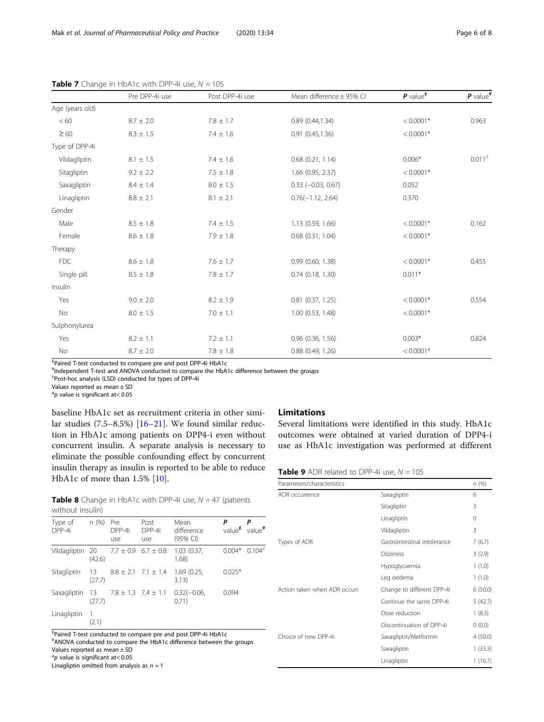|                 | Pre DPP-4i use  | Post DPP-4i use | Mean difference $\pm$ 95% CI | $P$ value <sup><math>E</math></sup> | $P$ value <sup>¥</sup> |
|-----------------|-----------------|-----------------|------------------------------|-------------------------------------|------------------------|
| Age (years old) |                 |                 |                              |                                     |                        |
| < 60            | $8.7 \pm 2.0$   | $7.8 \pm 1.7$   | 0.89(0.44, 1.34)             | $< 0.0001*$                         | 0.963                  |
| $\geq 60$       | $8.3 \pm 1.5$   | $7.4 \pm 1.6$   | 0.91(0.45, 1.36)             | $< 0.0001*$                         |                        |
| Type of DPP-4i  |                 |                 |                              |                                     |                        |
| Vildagliptin    | $8.1 \pm 1.5$   | $7.4 \pm 1.6$   | $0.68$ $(0.21, 1.14)$        | $0.006*$                            | $0.011^{\circ}$        |
| Sitagliptin     | $9.2 \pm 2.2$   | $7.5 \pm 1.8$   | 1.66 (0.95, 2.37)            | $< 0.0001*$                         |                        |
| Saxagliptin     | $8.4 \pm 1.4$   | $8.0 \pm 1.5$   | $0.33 (-0.03, 0.67)$         | 0.052                               |                        |
| Linagliptin     | $8.8 \pm 2.1$   | $8.1 \pm 2.1$   | $0.76(-1.12, 2.64)$          | 0.370                               |                        |
| Gender          |                 |                 |                              |                                     |                        |
| Male            | $8.5 \pm 1.8$   | $7.4 \pm 1.5$   | 1.13 (0.59, 1.66)            | $< 0.0001*$                         | 0.162                  |
| Female          | $8.6 \pm 1.8$   | $7.9 \pm 1.8$   | $0.68$ $(0.31, 1.04)$        | $< 0.0001*$                         |                        |
| Therapy         |                 |                 |                              |                                     |                        |
| <b>FDC</b>      | $8.6\,\pm\,1.8$ | $7.6 \pm 1.7$   | 0.99(0.60, 1.38)             | $< 0.0001*$                         | 0.455                  |
| Single pill     | $8.5 \pm 1.8$   | $7.8\,\pm\,1.7$ | $0.74$ $(0.18, 1.30)$        | $0.011*$                            |                        |
| Insulin         |                 |                 |                              |                                     |                        |
| Yes             | $9.0 \pm 2.0$   | $8.2 \pm 1.9$   | $0.81$ $(0.37, 1.25)$        | $< 0.0001*$                         | 0.554                  |
| No              | $8.0 \pm 1.5$   | $7.0 \pm 1.1$   | 1.00 (0.53, 1.48)            | $< 0.0001*$                         |                        |
| Sulphonylurea   |                 |                 |                              |                                     |                        |
| Yes             | $8.2 \pm 1.1$   | $7.2 \pm 1.1$   | $0.96$ $(0.36, 1.56)$        | $0.003*$                            | 0.824                  |
| No              | $8.7 \pm 2.0$   | $7.8 \pm 1.8$   | $0.88$ $(0.49, 1.26)$        | $< 0.0001*$                         |                        |

<span id="page-5-0"></span>**Table 7** Change in HbA1c with DPP-4i use,  $N = 105$ 

£ Paired T-test conducted to compare pre and post DPP-4i HbA1c

¥ Independent T-test and ANOVA conducted to compare the HbA1c difference between the groups

¢ Post-hoc analysis (LSD) conducted for types of DPP-4i

Values reported as mean ± SD

 $*$ *p* value is significant at < 0.05

baseline HbA1c set as recruitment criteria in other similar studies (7.5–8.5%) [[16](#page-7-0)–[21](#page-7-0)]. We found similar reduction in HbA1c among patients on DPP4-i even without concurrent insulin. A separate analysis is necessary to eliminate the possible confounding effect by concurrent insulin therapy as insulin is reported to be able to reduce HbA1c of more than 1.5% [[10\]](#page-6-0).

## Limitations

Several limitations were identified in this study. HbA1c outcomes were obtained at varied duration of DPP4-i use as HbA1c investigation was performed at different

**Table 9** ADR related to DPP-4i use,  $N = 105$ 

| Parameters/characteristics   |                              | n (%)    |
|------------------------------|------------------------------|----------|
| ADR occurrence               | Saxagliptin                  | 6        |
|                              | Sitagliptin                  | 3        |
|                              | Linagliptin                  | $\Omega$ |
|                              | Vildagliptin                 | 3        |
| Types of ADR                 | Gastrointestinal intolerance | 7(6.7)   |
|                              | <b>Dizziness</b>             | 3(2.9)   |
|                              | Hypoglycaemia                | 1(1.0)   |
|                              | Leg oedema                   | 1(1.0)   |
| Action taken when ADR occurs | Change to different DPP-4i   | 6(50.0)  |
|                              | Continue the same DPP-4i     | 5(42.7)  |
|                              | Dose reduction               | 1(8.3)   |
|                              | Discontinuation of DPP-4i    | (0.0)    |
| Choice of new DPP-4i         | Saxagliptin/Metformin        | 4(50.0)  |
|                              | Saxagliptin                  | 1(33.3)  |
|                              | Linagliptin                  | 1(16.7)  |

**Table 8** Change in HbA1c with DPP-4i use,  $N = 47$  (patients without insulin)

| Type of<br>DPP-4i | n(%)           | Pre<br>DPP-4i<br>use        | Post<br>DPP-4i<br>use       | Mean<br>difference<br>(95% CI) | Ρ<br>value <sup>£</sup> | value¥             |
|-------------------|----------------|-----------------------------|-----------------------------|--------------------------------|-------------------------|--------------------|
| Vildagliptin 20   | (42.6)         | $7.7 \pm 0.9$ 6.7 $\pm$ 0.8 |                             | 1.03(0.37,<br>1.68)            | $0.004*$                | 0.104 <sup>c</sup> |
| Sitagliptin       | - 13<br>(27.7) |                             | $8.8 \pm 2.1$ 7.1 $\pm$ 1.4 | 1.69 (0.25,<br>3.13)           | $0.025*$                |                    |
| Saxagliptin 13    | (27.7)         |                             | $7.8 \pm 1.3$ $7.4 \pm 1.1$ | $0.32(-0.06,$<br>0.71)         | 0.094                   |                    |
| Linagliptin       | 1<br>(2.1)     |                             |                             |                                |                         |                    |

£ Paired T-test conducted to compare pre and post DPP-4i HbA1c ¥ ANOVA conducted to compare the HbA1c difference between the groups Values reported as mean ± SD \*p value is significant at< 0.05

Linagliptin omitted from analysis as  $n = 1$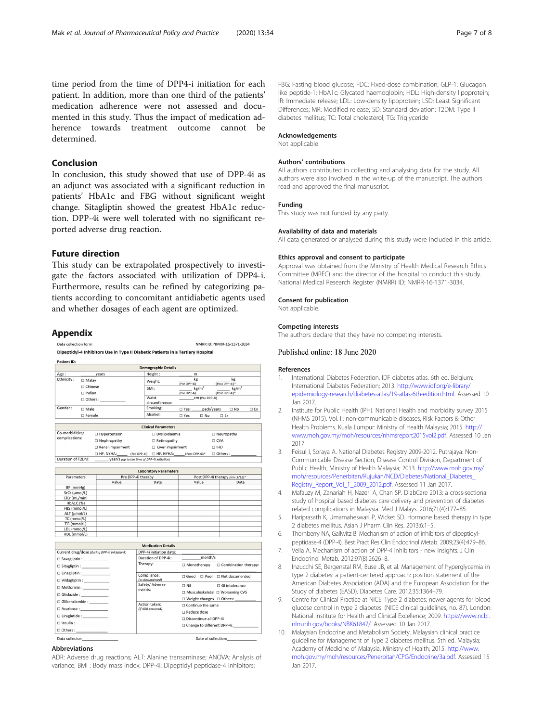<span id="page-6-0"></span>time period from the time of DPP4-i initiation for each patient. In addition, more than one third of the patients' medication adherence were not assessed and documented in this study. Thus the impact of medication adherence towards treatment outcome cannot be determined.

## Conclusion

In conclusion, this study showed that use of DPP-4i as an adjunct was associated with a significant reduction in patients' HbA1c and FBG without significant weight change. Sitagliptin showed the greatest HbA1c reduction. DPP-4i were well tolerated with no significant reported adverse drug reaction.

## Future direction

This study can be extrapolated prospectively to investigate the factors associated with utilization of DPP4-i. Furthermore, results can be refined by categorizing patients according to concomitant antidiabetic agents used and whether dosages of each agent are optimized.

### Appendix

Data collection form **NMADD ID: NMADD 16 1271 2024** Dinentidyl-4 Inhibitors Use in Tyne II Diabetic Patients in a Tertiary Hosnital

| Patient ID: |                  |                            |                            |                      |              |
|-------------|------------------|----------------------------|----------------------------|----------------------|--------------|
|             |                  | <b>Demographic Details</b> |                            |                      |              |
| Age:        | years            | Height:                    | m                          |                      |              |
| Ethnicity:  | $\square$ Malay  | Weight:                    | kg<br>(Pre DPP-4i)         | kg<br>(Post DPP-4i)* |              |
|             | $\Box$ Chinese   | BMI:                       | kg/m <sup>2</sup>          | kg/m <sup>2</sup>    |              |
|             | $\Box$ Indian    |                            | (Pre DPP-4i)               | (Post DPP-4i)*       |              |
|             | $\Box$ Others:   | Waist<br>circumference:    | CM (Pre DPP-4i)            |                      |              |
| Gender:     | $\Box$ Male      | Smoking:                   | pack/years<br>□ Yes:       | $\Box$ No            | $\square$ Ex |
|             | $\square$ Female | Alcohol:                   | $\square$ Yes<br>$\Box$ No | $\square$ Ex         |              |

|                   |                                              | <b>Clinical Parameters</b>  |                |  |  |  |  |
|-------------------|----------------------------------------------|-----------------------------|----------------|--|--|--|--|
| Co-morbidities/   | □ Hypertension                               | $\Box$ Dyslipidaemia        | □ Neuropathy   |  |  |  |  |
| complications:    | □ Nephropathy                                | $\Box$ Retinopathy          | □ CVA          |  |  |  |  |
|                   | □ Renal impairment                           | □ Liver impairment          | $\Box$ IHD     |  |  |  |  |
|                   | HF, NYHA:<br>(Pre DPP-4i)                    | HF, NYHA:<br>(Post DPP-4i)* | $\Box$ Others: |  |  |  |  |
| Duration of T2DM: | year/s (up to the time of DPP-4i initiation) |                             |                |  |  |  |  |

| <b>Laboratory Parameters</b> |                    |      |                                 |      |  |  |  |
|------------------------------|--------------------|------|---------------------------------|------|--|--|--|
| Parameters                   | Pre DPP-4i therapy |      | Post DPP-4i therapy (min 3/12)* |      |  |  |  |
|                              | Value              | Date | Value                           | Date |  |  |  |
| BP (mmHg)                    |                    |      |                                 |      |  |  |  |
| SrCr (µmol/L)                |                    |      |                                 |      |  |  |  |
| CICr (mL/min)                |                    |      |                                 |      |  |  |  |
| <b>HbA1C</b> (%)             |                    |      |                                 |      |  |  |  |
| FBS (mmol/L)                 |                    |      |                                 |      |  |  |  |
| ALT (µmol/L)                 |                    |      |                                 |      |  |  |  |
| TC (mmol/L)                  |                    |      |                                 |      |  |  |  |
| TG (mmol/L)                  |                    |      |                                 |      |  |  |  |
| LDL (mmol/L)                 |                    |      |                                 |      |  |  |  |
| HDL (mmol/L)                 |                    |      |                                 |      |  |  |  |

|                                                                                       | <b>Medication Details</b>          |                                                                           |  |  |
|---------------------------------------------------------------------------------------|------------------------------------|---------------------------------------------------------------------------|--|--|
| Current drug/dose (during DPP-4i initiation):                                         | DPP-4i initiation date:            |                                                                           |  |  |
|                                                                                       | Duration of DPP-4i:                | month/s                                                                   |  |  |
| $\Box$ Sitagliptin : _______________                                                  | Therapy:                           | $\Box$ Monotherapy $\Box$ Combination therapy:                            |  |  |
| $\Box$ Linagliptin : ____________<br>□ Vildagliptin : _____________                   | Compliance:<br>(as documented)     | $\Box$ Good $\Box$ Poor $\Box$ Not documented                             |  |  |
| $\Box$ Metformin : ______________                                                     | Safety/ Adverse<br>events:         | $\Box$ Nil<br>$\Box$ GI intolerance                                       |  |  |
| $\Box$ Gliclazide : _______________                                                   |                                    | $\Box$ Musculoskeletal $\Box$ Worsening CVS<br>□ Weight changes □ Others: |  |  |
| □ Glibenclamide : _________<br>$\Box$ Acarbose :                                      | Action taken:<br>(if ADR occurred) | $\Box$ Continue the same                                                  |  |  |
|                                                                                       |                                    | $\Box$ Reduce dose                                                        |  |  |
| $\Box$ Liraglutide : ____________                                                     |                                    | □ Discontinue all DPP-4i                                                  |  |  |
| $\Box$ Insulin :<br>$\hfill \Box \text{ Others : } \hfill \qquad \qquad \blacksquare$ |                                    | $\Box$ Change to different DPP-4i:                                        |  |  |
| Data collector:                                                                       |                                    | Date of collection:                                                       |  |  |

#### Abbreviations

ADR: Adverse drug reactions; ALT: Alanine transaminase; ANOVA: Analysis of variance; BMI : Body mass index; DPP-4i: Dipeptidyl peptidase-4 inhibitors;

FBG: Fasting blood glucose; FDC: Fixed-dose combination; GLP-1: Glucagon like peptide-1; HbA1c: Glycated haemoglobin; HDL: High-density lipoprotein; IR: Immediate release; LDL: Low-density lipoprotein; LSD: Least Significant Differences; MR: Modified release; SD: Standard deviation; T2DM: Type II diabetes mellitus; TC: Total cholesterol; TG: Triglyceride

#### Acknowledgements

Not applicable

#### Authors' contributions

All authors contributed in collecting and analysing data for the study. All authors were also involved in the write-up of the manuscript. The authors read and approved the final manuscript.

#### Funding

This study was not funded by any party.

#### Availability of data and materials

All data generated or analysed during this study were included in this article.

#### Ethics approval and consent to participate

Approval was obtained from the Ministry of Health Medical Research Ethics Committee (MREC) and the director of the hospital to conduct this study. National Medical Research Register (NMRR) ID: NMRR-16-1371-3034.

#### Consent for publication

Not applicable.

#### Competing interests

The authors declare that they have no competing interests.

#### Published online: 18 June 2020

#### References

- 1. International Diabetes Federation. IDF diabetes atlas. 6th ed. Belgium: International Diabetes Federation; 2013. [http://www.idf.org/e-library/](http://www.idf.org/e-library/epidemiology-research/diabetes-atlas/19-atlas-6th-edition.html) [epidemiology-research/diabetes-atlas/19-atlas-6th-edition.html.](http://www.idf.org/e-library/epidemiology-research/diabetes-atlas/19-atlas-6th-edition.html) Assessed 10 Jan 2017.
- 2. Institute for Public Health (IPH). National Health and morbidity survey 2015 (NHMS 2015). Vol. II: non-communicable diseases, Risk Factors & Other Health Problems. Kuala Lumpur: Ministry of Health Malaysia; 2015. [http://](http://www.moh.gov.my/moh/resources/nhmsreport2015vol2.pdf) [www.moh.gov.my/moh/resources/nhmsreport2015vol2.pdf.](http://www.moh.gov.my/moh/resources/nhmsreport2015vol2.pdf) Assessed 10 Jan 2017.
- 3. Feisul I, Soraya A. National Diabetes Registry 2009-2012. Putrajaya: Non-Communicable Disease Section, Disease Control Division, Department of Public Health, Ministry of Health Malaysia; 2013. [http://www.moh.gov.my/](http://www.moh.gov.my/moh/resources/Penerbitan/Rujukan/NCD/Diabetes/National_Diabetes_Registry_Report_Vol_1_2009_2012.pdf) [moh/resources/Penerbitan/Rujukan/NCD/Diabetes/National\\_Diabetes\\_](http://www.moh.gov.my/moh/resources/Penerbitan/Rujukan/NCD/Diabetes/National_Diabetes_Registry_Report_Vol_1_2009_2012.pdf) [Registry\\_Report\\_Vol\\_1\\_2009\\_2012.pdf.](http://www.moh.gov.my/moh/resources/Penerbitan/Rujukan/NCD/Diabetes/National_Diabetes_Registry_Report_Vol_1_2009_2012.pdf) Assessed 11 Jan 2017.
- 4. Mafauzy M, Zanariah H, Nazeri A, Chan SP. DiabCare 2013: a cross-sectional study of hospital based diabetes care delivery and prevention of diabetes related complications in Malaysia. Med J Malays. 2016;71(4):177–85.
- 5. Hariprasath K, Umamaheswari P, Wicket SD. Hormone based therapy in type 2 diabetes mellitus. Asian J Pharm Clin Res. 2013;6:1–5.
- Thornberry NA, Gallwitz B. Mechanism of action of inhibitors of dipeptidylpeptidase-4 (DPP-4). Best Pract Res Clin Endocrinol Metab. 2009;23(4):479–86.
- 7. Vella A. Mechanism of action of DPP-4 inhibitors new insights. J Clin Endocrinol Metab. 2012;97(8):2626–8.
- 8. Inzucchi SE, Bergenstal RM, Buse JB, et al. Management of hyperglycemia in type 2 diabetes: a patient-centered approach: position statement of the American Diabetes Association (ADA) and the European Association for the Study of diabetes (EASD). Diabetes Care. 2012;35:1364–79.
- 9. Centre for Clinical Practice at NICE. Type 2 diabetes: newer agents for blood glucose control in type 2 diabetes. (NICE clinical guidelines, no. 87). London: National Institute for Health and Clinical Excellence; 2009. [https://www.ncbi.](https://www.ncbi.nlm.nih.gov/books/NBK61847/) [nlm.nih.gov/books/NBK61847/.](https://www.ncbi.nlm.nih.gov/books/NBK61847/) Assessed 10 Jan 2017.
- 10. Malaysian Endocrine and Metabolism Society. Malaysian clinical practice guideline for Management of Type 2 diabetes mellitus. 5th ed. Malaysia: Academy of Medicine of Malaysia, Ministry of Health; 2015. [http://www.](http://www.moh.gov.my/moh/resources/Penerbitan/CPG/Endocrine/3a.pdf) [moh.gov.my/moh/resources/Penerbitan/CPG/Endocrine/3a.pdf.](http://www.moh.gov.my/moh/resources/Penerbitan/CPG/Endocrine/3a.pdf) Assessed 15 Jan 2017.